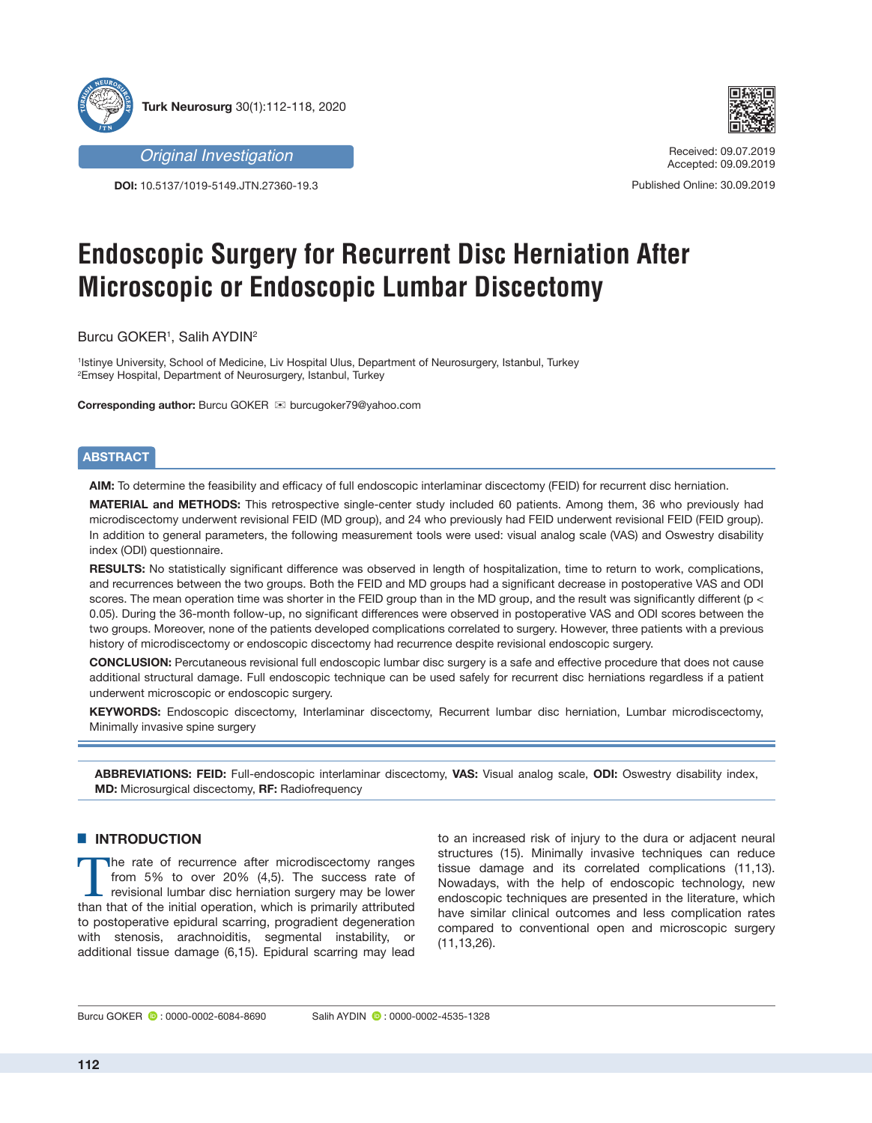



**DOI:** 10.5137/1019-5149.JTN.27360-19.3 Published Online: 30.09.2019



*Original Investigation* Received: 09.07.2019 Accepted: 09.09.2019

# **Endoscopic Surgery for Recurrent Disc Herniation After Microscopic or Endoscopic Lumbar Discectomy**

Burcu GOKER1, Salih AYDIN<sup>2</sup>

1 Istinye University, School of Medicine, Liv Hospital Ulus, Department of Neurosurgery, Istanbul, Turkey 2 Emsey Hospital, Department of Neurosurgery, Istanbul, Turkey

**Corresponding author:** Burcu GOKER  $\textbf{⊠}$  burcugoker79@yahoo.com

## **ABSTRACT**

**AIM:** To determine the feasibility and efficacy of full endoscopic interlaminar discectomy (FEID) for recurrent disc herniation.

**MATERIAL and METHODS:** This retrospective single-center study included 60 patients. Among them, 36 who previously had microdiscectomy underwent revisional FEID (MD group), and 24 who previously had FEID underwent revisional FEID (FEID group). In addition to general parameters, the following measurement tools were used: visual analog scale (VAS) and Oswestry disability index (ODI) questionnaire.

**RESULTS:** No statistically significant difference was observed in length of hospitalization, time to return to work, complications, and recurrences between the two groups. Both the FEID and MD groups had a significant decrease in postoperative VAS and ODI scores. The mean operation time was shorter in the FEID group than in the MD group, and the result was significantly different (p < 0.05). During the 36-month follow-up, no significant differences were observed in postoperative VAS and ODI scores between the two groups. Moreover, none of the patients developed complications correlated to surgery. However, three patients with a previous history of microdiscectomy or endoscopic discectomy had recurrence despite revisional endoscopic surgery.

**CONCLUSION:** Percutaneous revisional full endoscopic lumbar disc surgery is a safe and effective procedure that does not cause additional structural damage. Full endoscopic technique can be used safely for recurrent disc herniations regardless if a patient underwent microscopic or endoscopic surgery.

**KEYWORDS:** Endoscopic discectomy, Interlaminar discectomy, Recurrent lumbar disc herniation, Lumbar microdiscectomy, Minimally invasive spine surgery

**ABBREVIATIONS: FEID:** Full-endoscopic interlaminar discectomy, **VAS:** Visual analog scale, **ODI:** Oswestry disability index, **MD:** Microsurgical discectomy, **RF:** Radiofrequency

## **E INTRODUCTION**

The rate of recurrence after microdiscectomy ranges from 5% to over 20% (4,5). The success rate of revisional lumbar disc herniation surgery may be lower than that of the initial operation, which is primarily attributed to postoperative epidural scarring, progradient degeneration with stenosis, arachnoiditis, segmental instability, or additional tissue damage (6,15). Epidural scarring may lead to an increased risk of injury to the dura or adjacent neural structures (15). Minimally invasive techniques can reduce tissue damage and its correlated complications (11,13). Nowadays, with the help of endoscopic technology, new endoscopic techniques are presented in the literature, which have similar clinical outcomes and less complication rates compared to conventional open and microscopic surgery (11,13,26).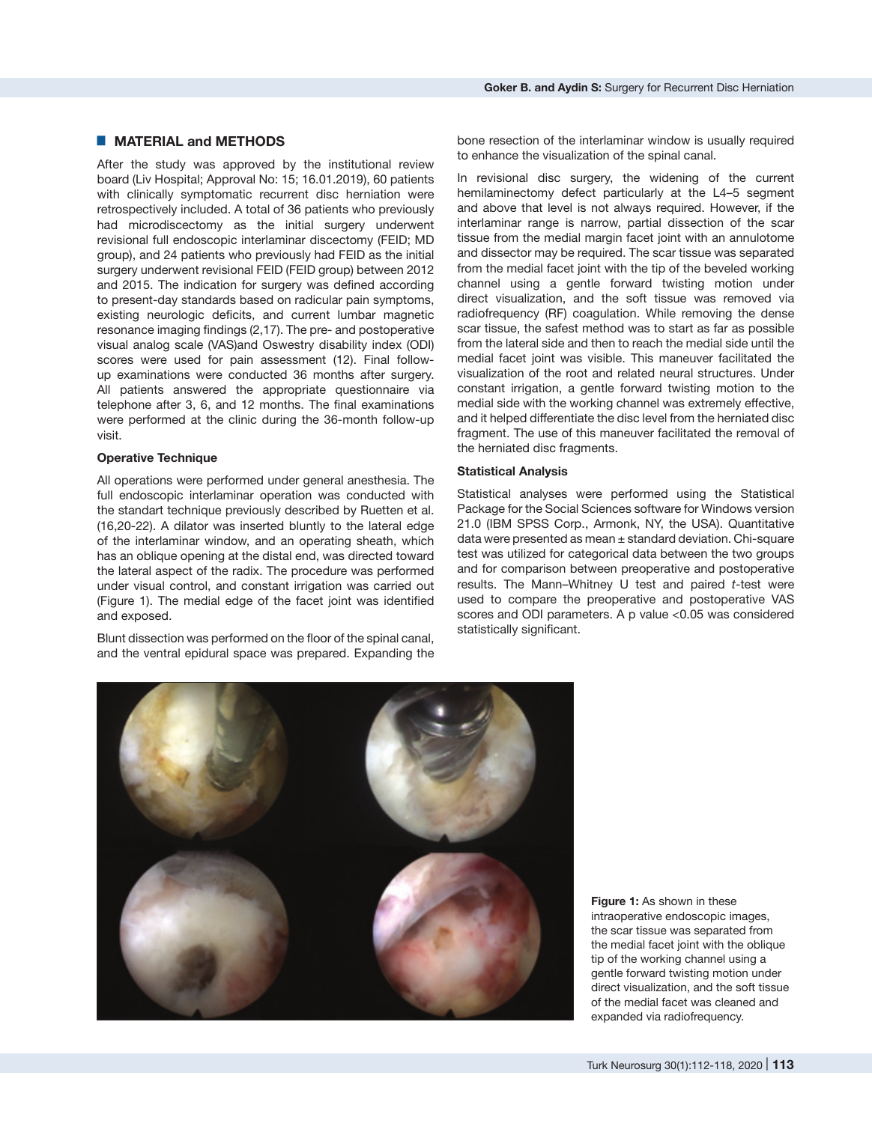## █ **MATERIAL and METHODS**

After the study was approved by the institutional review board (Liv Hospital; Approval No: 15; 16.01.2019), 60 patients with clinically symptomatic recurrent disc herniation were retrospectively included. A total of 36 patients who previously had microdiscectomy as the initial surgery underwent revisional full endoscopic interlaminar discectomy (FEID; MD group), and 24 patients who previously had FEID as the initial surgery underwent revisional FEID (FEID group) between 2012 and 2015. The indication for surgery was defined according to present-day standards based on radicular pain symptoms, existing neurologic deficits, and current lumbar magnetic resonance imaging findings (2,17). The pre- and postoperative visual analog scale (VAS)and Oswestry disability index (ODI) scores were used for pain assessment (12). Final followup examinations were conducted 36 months after surgery. All patients answered the appropriate questionnaire via telephone after 3, 6, and 12 months. The final examinations were performed at the clinic during the 36-month follow-up visit.

#### **Operative Technique**

All operations were performed under general anesthesia. The full endoscopic interlaminar operation was conducted with the standart technique previously described by Ruetten et al. (16,20-22). A dilator was inserted bluntly to the lateral edge of the interlaminar window, and an operating sheath, which has an oblique opening at the distal end, was directed toward the lateral aspect of the radix. The procedure was performed under visual control, and constant irrigation was carried out (Figure 1). The medial edge of the facet joint was identified and exposed.

Blunt dissection was performed on the floor of the spinal canal, and the ventral epidural space was prepared. Expanding the bone resection of the interlaminar window is usually required to enhance the visualization of the spinal canal.

In revisional disc surgery, the widening of the current hemilaminectomy defect particularly at the L4–5 segment and above that level is not always required. However, if the interlaminar range is narrow, partial dissection of the scar tissue from the medial margin facet joint with an annulotome and dissector may be required. The scar tissue was separated from the medial facet joint with the tip of the beveled working channel using a gentle forward twisting motion under direct visualization, and the soft tissue was removed via radiofrequency (RF) coagulation. While removing the dense scar tissue, the safest method was to start as far as possible from the lateral side and then to reach the medial side until the medial facet joint was visible. This maneuver facilitated the visualization of the root and related neural structures. Under constant irrigation, a gentle forward twisting motion to the medial side with the working channel was extremely effective, and it helped differentiate the disc level from the herniated disc fragment. The use of this maneuver facilitated the removal of the herniated disc fragments.

#### **Statistical Analysis**

Statistical analyses were performed using the Statistical Package for the Social Sciences software for Windows version 21.0 (IBM SPSS Corp., Armonk, NY, the USA). Quantitative data were presented as mean  $\pm$  standard deviation. Chi-square test was utilized for categorical data between the two groups and for comparison between preoperative and postoperative results. The Mann–Whitney U test and paired *t*-test were used to compare the preoperative and postoperative VAS scores and ODI parameters. A p value <0.05 was considered statistically significant.



**Figure 1:** As shown in these intraoperative endoscopic images, the scar tissue was separated from the medial facet joint with the oblique tip of the working channel using a gentle forward twisting motion under direct visualization, and the soft tissue of the medial facet was cleaned and expanded via radiofrequency.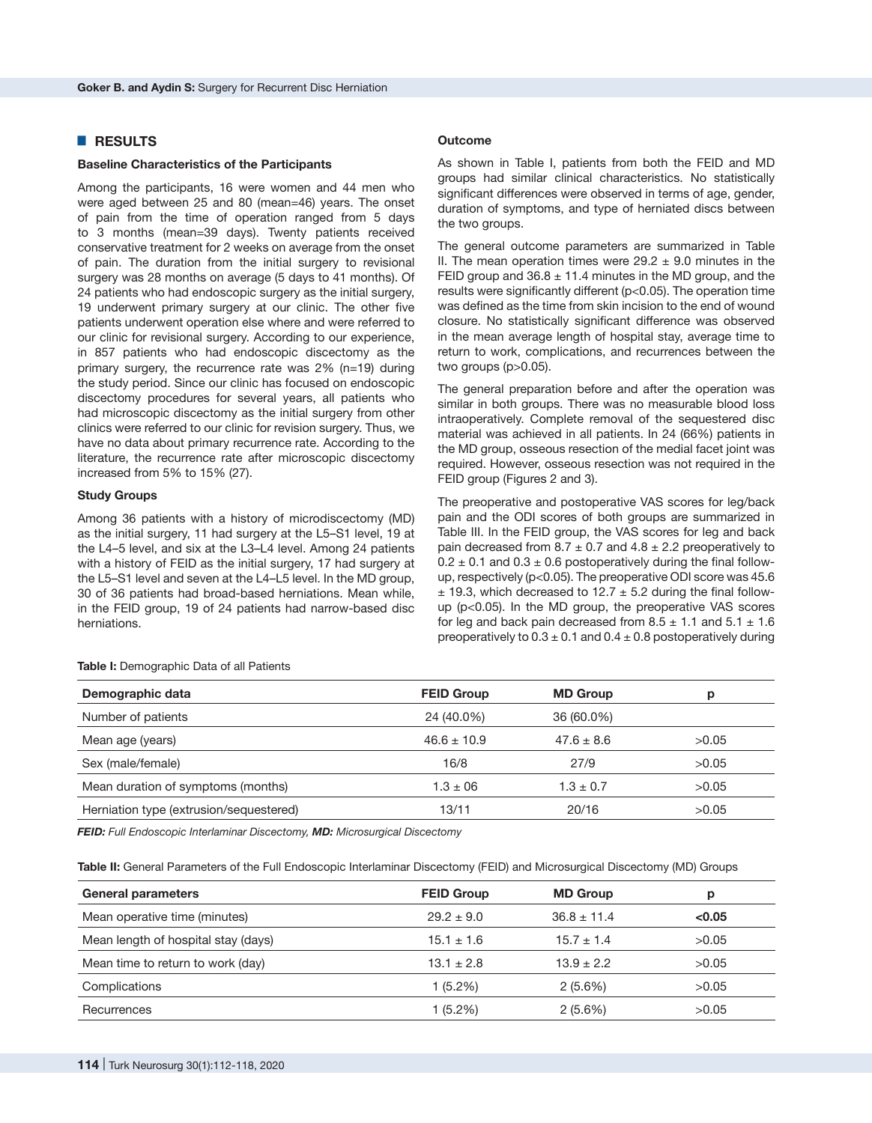# █ **RESULTS**

#### **Baseline Characteristics of the Participants**

Among the participants, 16 were women and 44 men who were aged between 25 and 80 (mean=46) years. The onset of pain from the time of operation ranged from 5 days to 3 months (mean=39 days). Twenty patients received conservative treatment for 2 weeks on average from the onset of pain. The duration from the initial surgery to revisional surgery was 28 months on average (5 days to 41 months). Of 24 patients who had endoscopic surgery as the initial surgery, 19 underwent primary surgery at our clinic. The other five patients underwent operation else where and were referred to our clinic for revisional surgery. According to our experience, in 857 patients who had endoscopic discectomy as the primary surgery, the recurrence rate was 2% (n=19) during the study period. Since our clinic has focused on endoscopic discectomy procedures for several years, all patients who had microscopic discectomy as the initial surgery from other clinics were referred to our clinic for revision surgery. Thus, we have no data about primary recurrence rate. According to the literature, the recurrence rate after microscopic discectomy increased from 5% to 15% (27).

#### **Study Groups**

Among 36 patients with a history of microdiscectomy (MD) as the initial surgery, 11 had surgery at the L5–S1 level, 19 at the L4–5 level, and six at the L3–L4 level. Among 24 patients with a history of FEID as the initial surgery, 17 had surgery at the L5–S1 level and seven at the L4–L5 level. In the MD group, 30 of 36 patients had broad-based herniations. Mean while, in the FEID group, 19 of 24 patients had narrow-based disc herniations.

#### **Outcome**

As shown in Table I, patients from both the FEID and MD groups had similar clinical characteristics. No statistically significant differences were observed in terms of age, gender, duration of symptoms, and type of herniated discs between the two groups.

The general outcome parameters are summarized in Table II. The mean operation times were  $29.2 \pm 9.0$  minutes in the FEID group and  $36.8 \pm 11.4$  minutes in the MD group, and the results were significantly different (p<0.05). The operation time was defined as the time from skin incision to the end of wound closure. No statistically significant difference was observed in the mean average length of hospital stay, average time to return to work, complications, and recurrences between the two groups (p>0.05).

The general preparation before and after the operation was similar in both groups. There was no measurable blood loss intraoperatively. Complete removal of the sequestered disc material was achieved in all patients. In 24 (66%) patients in the MD group, osseous resection of the medial facet joint was required. However, osseous resection was not required in the FEID group (Figures 2 and 3).

The preoperative and postoperative VAS scores for leg/back pain and the ODI scores of both groups are summarized in Table III. In the FEID group, the VAS scores for leg and back pain decreased from 8.7  $\pm$  0.7 and 4.8  $\pm$  2.2 preoperatively to  $0.2 \pm 0.1$  and  $0.3 \pm 0.6$  postoperatively during the final followup, respectively (p<0.05). The preoperative ODI score was 45.6  $\pm$  19.3, which decreased to 12.7  $\pm$  5.2 during the final followup (p<0.05). In the MD group, the preoperative VAS scores for leg and back pain decreased from  $8.5 \pm 1.1$  and  $5.1 \pm 1.6$ preoperatively to  $0.3 \pm 0.1$  and  $0.4 \pm 0.8$  postoperatively during

**Table I:** Demographic Data of all Patients

| Demographic data                        | <b>FEID Group</b> | <b>MD Group</b> | р     |
|-----------------------------------------|-------------------|-----------------|-------|
| Number of patients                      | 24 (40.0%)        | 36 (60.0%)      |       |
| Mean age (years)                        | $46.6 \pm 10.9$   | $47.6 \pm 8.6$  | >0.05 |
| Sex (male/female)                       | 16/8              | 27/9            | >0.05 |
| Mean duration of symptoms (months)      | $1.3 \pm 06$      | $1.3 \pm 0.7$   | >0.05 |
| Herniation type (extrusion/sequestered) | 13/11             | 20/16           | >0.05 |

*FEID: Full Endoscopic Interlaminar Discectomy, MD: Microsurgical Discectomy*

**Table II:** General Parameters of the Full Endoscopic Interlaminar Discectomy (FEID) and Microsurgical Discectomy (MD) Groups

| <b>General parameters</b>           | <b>FEID Group</b> | <b>MD Group</b> | p      |
|-------------------------------------|-------------------|-----------------|--------|
| Mean operative time (minutes)       | $29.2 \pm 9.0$    | $36.8 \pm 11.4$ | < 0.05 |
| Mean length of hospital stay (days) | $15.1 \pm 1.6$    | $15.7 \pm 1.4$  | >0.05  |
| Mean time to return to work (day)   | $13.1 \pm 2.8$    | $13.9 \pm 2.2$  | >0.05  |
| Complications                       | $1(5.2\%)$        | 2(5.6%)         | >0.05  |
| Recurrences                         | $1(5.2\%)$        | 2(5.6%)         | >0.05  |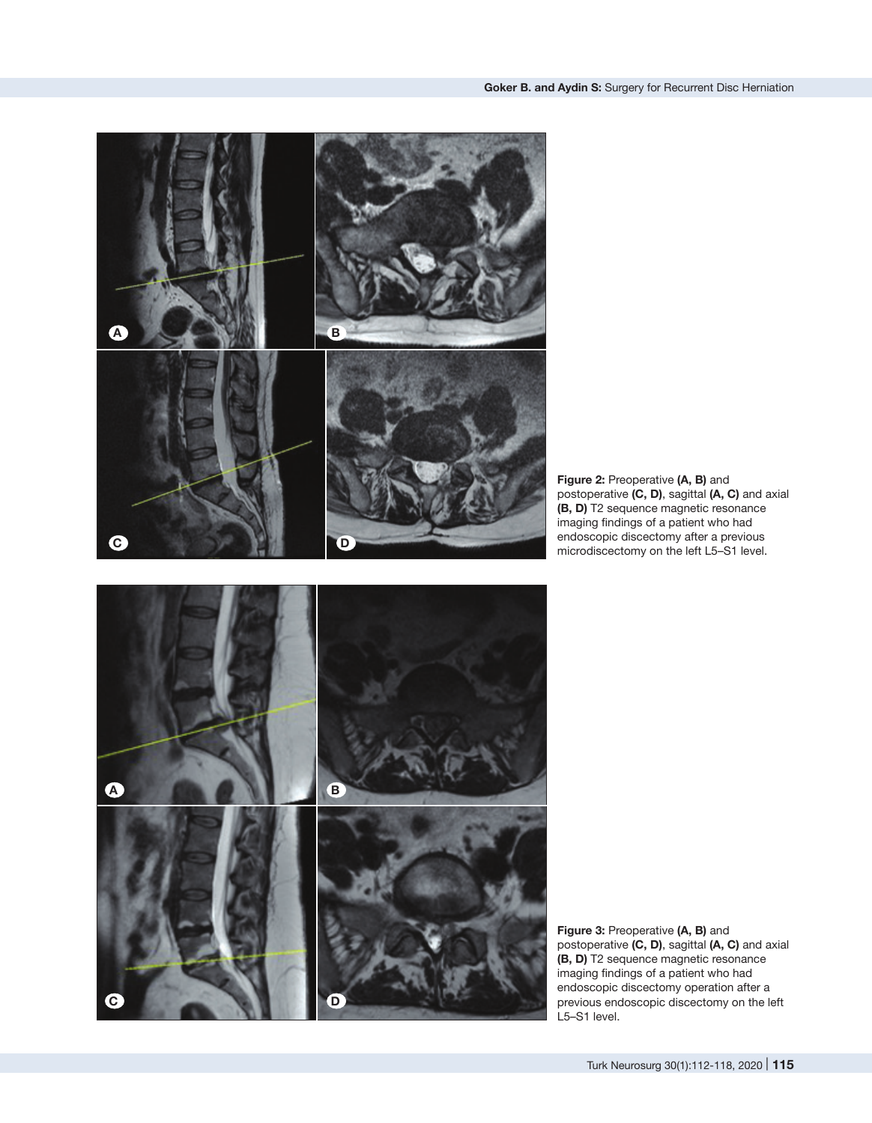

**Figure 2:** Preoperative **(A, B)** and postoperative **(C, D)**, sagittal **(A, C)** and axial **(B, D)** T2 sequence magnetic resonance imaging findings of a patient who had endoscopic discectomy after a previous microdiscectomy on the left L5–S1 level.



**Figure 3:** Preoperative **(A, B)** and postoperative **(C, D)**, sagittal **(A, C)** and axial **(B, D)** T2 sequence magnetic resonance imaging findings of a patient who had endoscopic discectomy operation after a previous endoscopic discectomy on the left L5–S1 level.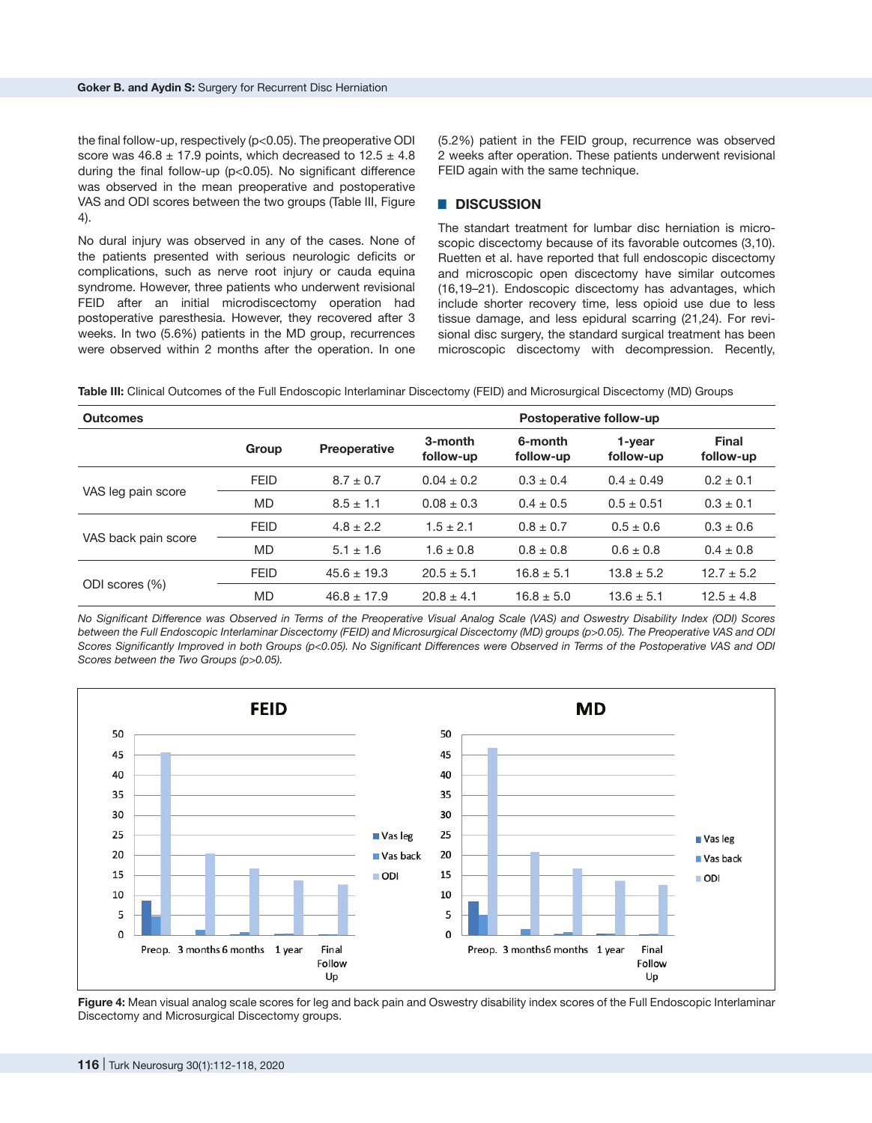the final follow-up, respectively (p<0.05). The preoperative ODI score was  $46.8 \pm 17.9$  points, which decreased to  $12.5 \pm 4.8$ during the final follow-up (p<0.05). No significant difference was observed in the mean preoperative and postoperative VAS and ODI scores between the two groups (Table III, Figure 4).

No dural injury was observed in any of the cases. None of the patients presented with serious neurologic deficits or complications, such as nerve root injury or cauda equina syndrome. However, three patients who underwent revisional FEID after an initial microdiscectomy operation had postoperative paresthesia. However, they recovered after 3 weeks. In two (5.6%) patients in the MD group, recurrences were observed within 2 months after the operation. In one (5.2%) patient in the FEID group, recurrence was observed 2 weeks after operation. These patients underwent revisional FEID again with the same technique.

## █ **DISCUSSION**

The standart treatment for lumbar disc herniation is microscopic discectomy because of its favorable outcomes (3,10). Ruetten et al. have reported that full endoscopic discectomy and microscopic open discectomy have similar outcomes (16,19–21). Endoscopic discectomy has advantages, which include shorter recovery time, less opioid use due to less tissue damage, and less epidural scarring (21,24). For revisional disc surgery, the standard surgical treatment has been microscopic discectomy with decompression. Recently,

**Table III:** Clinical Outcomes of the Full Endoscopic Interlaminar Discectomy (FEID) and Microsurgical Discectomy (MD) Groups

| <b>Outcomes</b>     | Postoperative follow-up |                     |                      |                      |                     |                           |
|---------------------|-------------------------|---------------------|----------------------|----------------------|---------------------|---------------------------|
|                     | Group                   | <b>Preoperative</b> | 3-month<br>follow-up | 6-month<br>follow-up | 1-vear<br>follow-up | <b>Final</b><br>follow-up |
| VAS leg pain score  | <b>FEID</b>             | $8.7 \pm 0.7$       | $0.04 \pm 0.2$       | $0.3 \pm 0.4$        | $0.4 \pm 0.49$      | $0.2 \pm 0.1$             |
|                     | <b>MD</b>               | $8.5 \pm 1.1$       | $0.08 \pm 0.3$       | $0.4 \pm 0.5$        | $0.5 \pm 0.51$      | $0.3 \pm 0.1$             |
| VAS back pain score | <b>FEID</b>             | $4.8 \pm 2.2$       | $1.5 \pm 2.1$        | $0.8 \pm 0.7$        | $0.5 \pm 0.6$       | $0.3 \pm 0.6$             |
|                     | <b>MD</b>               | $5.1 \pm 1.6$       | $1.6 \pm 0.8$        | $0.8 \pm 0.8$        | $0.6 \pm 0.8$       | $0.4 \pm 0.8$             |
| ODI scores (%)      | <b>FEID</b>             | $45.6 \pm 19.3$     | $20.5 \pm 5.1$       | $16.8 \pm 5.1$       | $13.8 \pm 5.2$      | $12.7 \pm 5.2$            |
|                     | <b>MD</b>               | $46.8 \pm 17.9$     | $20.8 \pm 4.1$       | $16.8 \pm 5.0$       | $13.6 \pm 5.1$      | $12.5 \pm 4.8$            |

*No Significant Difference was Observed in Terms of the Preoperative Visual Analog Scale (VAS) and Oswestry Disability Index (ODI) Scores between the Full Endoscopic Interlaminar Discectomy (FEID) and Microsurgical Discectomy (MD) groups (p>0.05). The Preoperative VAS and ODI Scores Significantly Improved in both Groups (p<0.05). No Significant Differences were Observed in Terms of the Postoperative VAS and ODI Scores between the Two Groups (p>0.05).*



**Figure 4:** Mean visual analog scale scores for leg and back pain and Oswestry disability index scores of the Full Endoscopic Interlaminar Discectomy and Microsurgical Discectomy groups.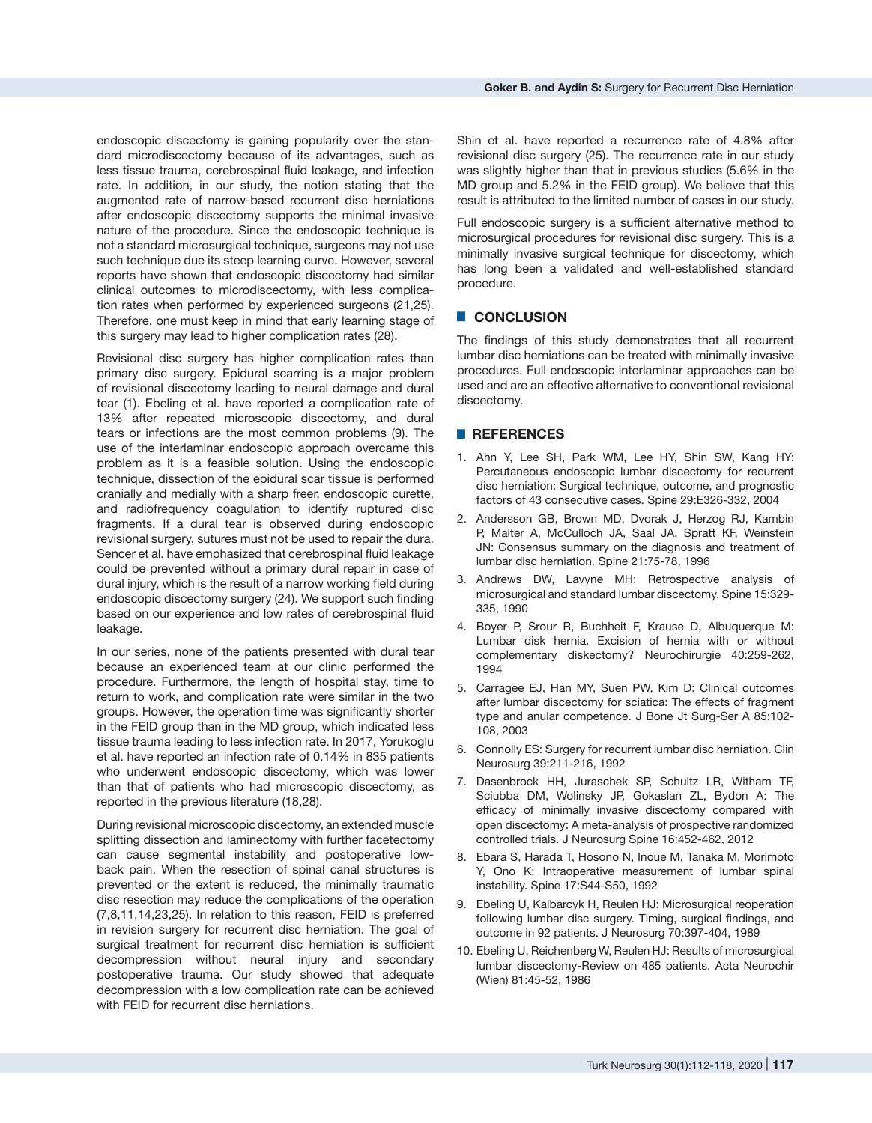endoscopic discectomy is gaining popularity over the standard microdiscectomy because of its advantages, such as less tissue trauma, cerebrospinal fluid leakage, and infection rate. In addition, in our study, the notion stating that the augmented rate of narrow-based recurrent disc herniations after endoscopic discectomy supports the minimal invasive nature of the procedure. Since the endoscopic technique is not a standard microsurgical technique, surgeons may not use such technique due its steep learning curve. However, several reports have shown that endoscopic discectomy had similar clinical outcomes to microdiscectomy, with less complication rates when performed by experienced surgeons (21,25). Therefore, one must keep in mind that early learning stage of this surgery may lead to higher complication rates (28).

Revisional disc surgery has higher complication rates than primary disc surgery. Epidural scarring is a major problem of revisional discectomy leading to neural damage and dural tear (1). Ebeling et al. have reported a complication rate of 13% after repeated microscopic discectomy, and dural tears or infections are the most common problems (9). The use of the interlaminar endoscopic approach overcame this problem as it is a feasible solution. Using the endoscopic technique, dissection of the epidural scar tissue is performed cranially and medially with a sharp freer, endoscopic curette, and radiofrequency coagulation to identify ruptured disc fragments. If a dural tear is observed during endoscopic revisional surgery, sutures must not be used to repair the dura. Sencer et al. have emphasized that cerebrospinal fluid leakage could be prevented without a primary dural repair in case of dural injury, which is the result of a narrow working field during endoscopic discectomy surgery (24). We support such finding based on our experience and low rates of cerebrospinal fluid leakage.

In our series, none of the patients presented with dural tear because an experienced team at our clinic performed the procedure. Furthermore, the length of hospital stay, time to return to work, and complication rate were similar in the two groups. However, the operation time was significantly shorter in the FEID group than in the MD group, which indicated less tissue trauma leading to less infection rate. In 2017, Yorukoglu et al. have reported an infection rate of 0.14% in 835 patients who underwent endoscopic discectomy, which was lower than that of patients who had microscopic discectomy, as reported in the previous literature (18,28).

During revisional microscopic discectomy, an extended muscle splitting dissection and laminectomy with further facetectomy can cause segmental instability and postoperative lowback pain. When the resection of spinal canal structures is prevented or the extent is reduced, the minimally traumatic disc resection may reduce the complications of the operation (7,8,11,14,23,25). In relation to this reason, FEID is preferred in revision surgery for recurrent disc herniation. The goal of surgical treatment for recurrent disc herniation is sufficient decompression without neural injury and secondary postoperative trauma. Our study showed that adequate decompression with a low complication rate can be achieved with FEID for recurrent disc herniations.

Shin et al. have reported a recurrence rate of 4.8% after revisional disc surgery (25). The recurrence rate in our study was slightly higher than that in previous studies (5.6% in the MD group and 5.2% in the FEID group). We believe that this result is attributed to the limited number of cases in our study.

Full endoscopic surgery is a sufficient alternative method to microsurgical procedures for revisional disc surgery. This is a minimally invasive surgical technique for discectomy, which has long been a validated and well-established standard procedure.

### █ **CONCLUSION**

The findings of this study demonstrates that all recurrent lumbar disc herniations can be treated with minimally invasive procedures. Full endoscopic interlaminar approaches can be used and are an effective alternative to conventional revisional discectomy.

## █ **REFERENCES**

- 1. Ahn Y, Lee SH, Park WM, Lee HY, Shin SW, Kang HY: Percutaneous endoscopic lumbar discectomy for recurrent disc herniation: Surgical technique, outcome, and prognostic factors of 43 consecutive cases. Spine 29:E326-332, 2004
- 2. Andersson GB, Brown MD, Dvorak J, Herzog RJ, Kambin P, Malter A, McCulloch JA, Saal JA, Spratt KF, Weinstein JN: Consensus summary on the diagnosis and treatment of lumbar disc herniation. Spine 21:75-78, 1996
- 3. Andrews DW, Lavyne MH: Retrospective analysis of microsurgical and standard lumbar discectomy. Spine 15:329- 335, 1990
- 4. Boyer P, Srour R, Buchheit F, Krause D, Albuquerque M: Lumbar disk hernia. Excision of hernia with or without complementary diskectomy? Neurochirurgie 40:259-262, 1994
- 5. Carragee EJ, Han MY, Suen PW, Kim D: Clinical outcomes after lumbar discectomy for sciatica: The effects of fragment type and anular competence. J Bone Jt Surg-Ser A 85:102- 108, 2003
- 6. Connolly ES: Surgery for recurrent lumbar disc herniation. Clin Neurosurg 39:211-216, 1992
- 7. Dasenbrock HH, Juraschek SP, Schultz LR, Witham TF, Sciubba DM, Wolinsky JP, Gokaslan ZL, Bydon A: The efficacy of minimally invasive discectomy compared with open discectomy: A meta-analysis of prospective randomized controlled trials. J Neurosurg Spine 16:452-462, 2012
- 8. Ebara S, Harada T, Hosono N, Inoue M, Tanaka M, Morimoto Y, Ono K: Intraoperative measurement of lumbar spinal instability. Spine 17:S44-S50, 1992
- 9. Ebeling U, Kalbarcyk H, Reulen HJ: Microsurgical reoperation following lumbar disc surgery. Timing, surgical findings, and outcome in 92 patients. J Neurosurg 70:397-404, 1989
- 10. Ebeling U, Reichenberg W, Reulen HJ: Results of microsurgical lumbar discectomy-Review on 485 patients. Acta Neurochir (Wien) 81:45-52, 1986